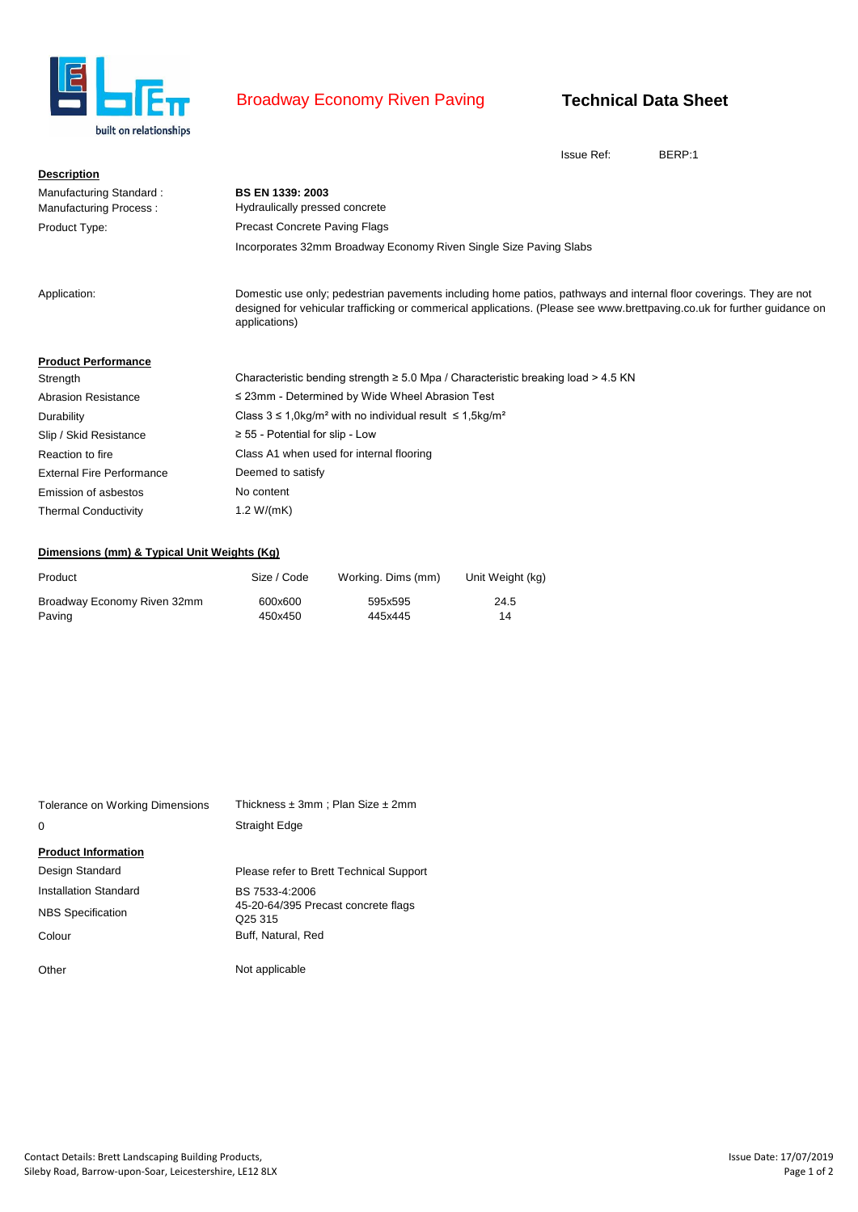

## Broadway Economy Riven Paving

## **Technical Data Sheet**

Issue Ref: BERP:1

| <b>Description</b>               |                                                                                                                                                                                                                                                                 |
|----------------------------------|-----------------------------------------------------------------------------------------------------------------------------------------------------------------------------------------------------------------------------------------------------------------|
| Manufacturing Standard:          | <b>BS EN 1339: 2003</b>                                                                                                                                                                                                                                         |
| <b>Manufacturing Process:</b>    | Hydraulically pressed concrete                                                                                                                                                                                                                                  |
| Product Type:                    | <b>Precast Concrete Paving Flags</b>                                                                                                                                                                                                                            |
|                                  | Incorporates 32mm Broadway Economy Riven Single Size Paving Slabs                                                                                                                                                                                               |
| Application:                     | Domestic use only; pedestrian pavements including home patios, pathways and internal floor coverings. They are not<br>designed for vehicular trafficking or commerical applications. (Please see www.brettpaving.co.uk for further guidance on<br>applications) |
| <b>Product Performance</b>       |                                                                                                                                                                                                                                                                 |
| Strength                         | Characteristic bending strength $\geq 5.0$ Mpa / Characteristic breaking load $> 4.5$ KN                                                                                                                                                                        |
| <b>Abrasion Resistance</b>       | $\leq$ 23mm - Determined by Wide Wheel Abrasion Test                                                                                                                                                                                                            |
| Durability                       | Class $3 \le 1.0 \text{kg/m}^2$ with no individual result $\le 1.5 \text{kg/m}^2$                                                                                                                                                                               |
| Slip / Skid Resistance           | $\geq$ 55 - Potential for slip - Low                                                                                                                                                                                                                            |
| Reaction to fire                 | Class A1 when used for internal flooring                                                                                                                                                                                                                        |
| <b>External Fire Performance</b> | Deemed to satisfy                                                                                                                                                                                                                                               |
| Emission of asbestos             | No content                                                                                                                                                                                                                                                      |
| <b>Thermal Conductivity</b>      | 1.2 $W/(mK)$                                                                                                                                                                                                                                                    |

## **Dimensions (mm) & Typical Unit Weights (Kg)**

| Product                     | Size / Code | Working. Dims (mm) | Unit Weight (kg) |
|-----------------------------|-------------|--------------------|------------------|
| Broadway Economy Riven 32mm | 600x600     | 595x595            | 24.5             |
| Paving                      | 450x450     | 445x445            | 14               |

| Tolerance on Working Dimensions | Thickness $\pm 3$ mm; Plan Size $\pm 2$ mm                 |  |  |  |
|---------------------------------|------------------------------------------------------------|--|--|--|
| $\Omega$                        | <b>Straight Edge</b>                                       |  |  |  |
| <b>Product Information</b>      |                                                            |  |  |  |
| Design Standard                 | Please refer to Brett Technical Support                    |  |  |  |
| Installation Standard           | BS 7533-4:2006                                             |  |  |  |
| <b>NBS</b> Specification        | 45-20-64/395 Precast concrete flags<br>Q <sub>25</sub> 315 |  |  |  |
| Colour                          | Buff. Natural. Red                                         |  |  |  |
| Other                           | Not applicable                                             |  |  |  |